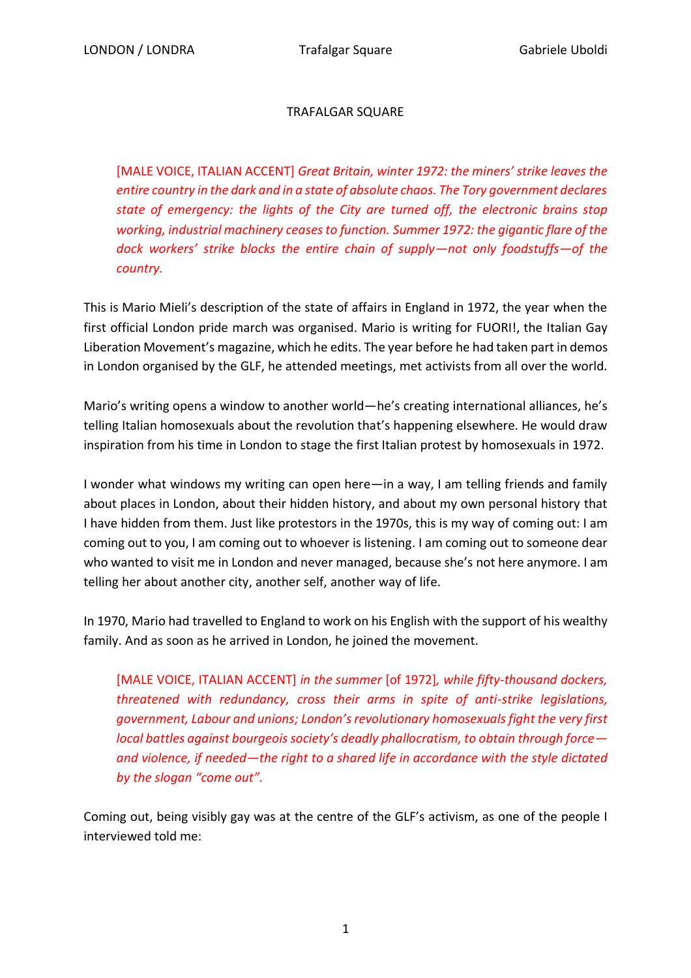## TRAFALGAR SQUARE

[MALE VOICE, ITALIAN ACCENT] *Great Britain, winter 1972: the miners' strike leaves the entire country in the dark and in a state of absolute chaos. The Tory government declares state of emergency: the lights of the City are turned off, the electronic brains stop working, industrial machinery ceases to function. Summer 1972: the gigantic flare of the dock workers' strike blocks the entire chain of supply—not only foodstuffs—of the country.*

This is Mario Mieli's description of the state of affairs in England in 1972, the year when the first official London pride march was organised. Mario is writing for FUORI!, the Italian Gay Liberation Movement's magazine, which he edits. The year before he had taken part in demos in London organised by the GLF, he attended meetings, met activists from all over the world.

Mario's writing opens a window to another world—he's creating international alliances, he's telling Italian homosexuals about the revolution that's happening elsewhere. He would draw inspiration from his time in London to stage the first Italian protest by homosexuals in 1972.

I wonder what windows my writing can open here—in a way, I am telling friends and family about places in London, about their hidden history, and about my own personal history that I have hidden from them. Just like protestors in the 1970s, this is my way of coming out: I am coming out to you, I am coming out to whoever is listening. I am coming out to someone dear who wanted to visit me in London and never managed, because she's not here anymore. I am telling her about another city, another self, another way of life.

In 1970, Mario had travelled to England to work on his English with the support of his wealthy family. And as soon as he arrived in London, he joined the movement.

[MALE VOICE, ITALIAN ACCENT] *in the summer* [of 1972]*, while fifty-thousand dockers, threatened with redundancy, cross their arms in spite of anti-strike legislations, government, Labour and unions; London's revolutionary homosexuals fight the very first local battles against bourgeois society's deadly phallocratism, to obtain through force and violence, if needed—the right to a shared life in accordance with the style dictated by the slogan "come out".*

Coming out, being visibly gay was at the centre of the GLF's activism, as one of the people I interviewed told me: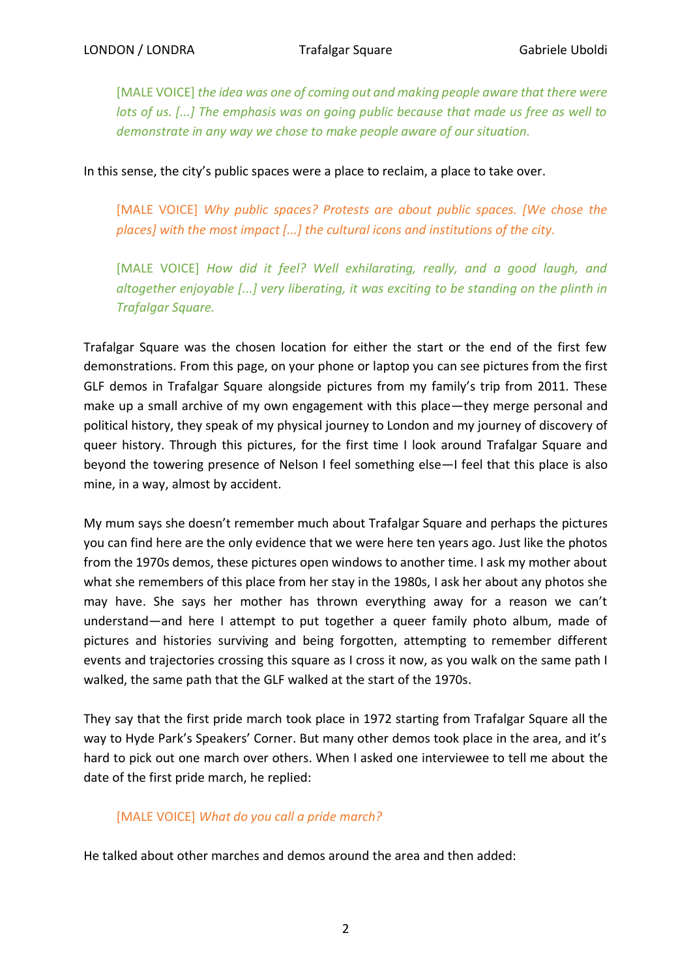[MALE VOICE] *the idea was one of coming out and making people aware that there were lots of us. [...] The emphasis was on going public because that made us free as well to demonstrate in any way we chose to make people aware of our situation.*

In this sense, the city's public spaces were a place to reclaim, a place to take over.

[MALE VOICE] Why public spaces? Protests are about public spaces. [We chose the *places] with the most impact [...] the cultural icons and institutions of the city.*

[MALE VOICE] *How did it feel? Well exhilarating, really, and a good laugh, and altogether enjoyable [...] very liberating, it was exciting to be standing on the plinth in Trafalgar Square.*

Trafalgar Square was the chosen location for either the start or the end of the first few demonstrations. From this page, on your phone or laptop you can see pictures from the first GLF demos in Trafalgar Square alongside pictures from my family's trip from 2011. These make up a small archive of my own engagement with this place—they merge personal and political history, they speak of my physical journey to London and my journey of discovery of queer history. Through this pictures, for the first time I look around Trafalgar Square and beyond the towering presence of Nelson I feel something else—I feel that this place is also mine, in a way, almost by accident.

My mum says she doesn't remember much about Trafalgar Square and perhaps the pictures you can find here are the only evidence that we were here ten years ago. Just like the photos from the 1970s demos, these pictures open windows to another time. I ask my mother about what she remembers of this place from her stay in the 1980s, I ask her about any photos she may have. She says her mother has thrown everything away for a reason we can't understand—and here I attempt to put together a queer family photo album, made of pictures and histories surviving and being forgotten, attempting to remember different events and trajectories crossing this square as I cross it now, as you walk on the same path I walked, the same path that the GLF walked at the start of the 1970s.

They say that the first pride march took place in 1972 starting from Trafalgar Square all the way to Hyde Park's Speakers' Corner. But many other demos took place in the area, and it's hard to pick out one march over others. When I asked one interviewee to tell me about the date of the first pride march, he replied:

## [MALE VOICE] *What do you call a pride march?*

He talked about other marches and demos around the area and then added: